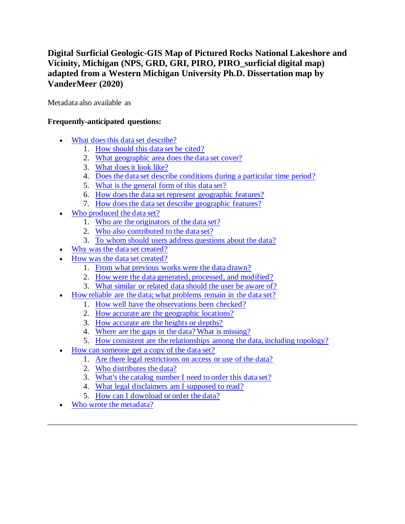# **Digital Surficial Geologic-GIS Map of Pictured Rocks National Lakeshore and Vicinity, Michigan (NPS, GRD, GRI, PIRO, PIRO\_surficial digital map) adapted from a Western Michigan University Ph.D. Dissertation map by VanderMeer (2020)**

Metadata also available as

## **Frequently-anticipated questions:**

- [What does this data set describe?](#page-0-0)
	- 1. [How should this data set be cited?](#page-2-0)
	- 2. [What geographic area does the data set cover?](#page-2-1)
	- 3. [What does it look like?](#page-2-2)
	- 4. [Does the data set describe conditions during a particular time period?](#page-3-0)
	- 5. [What is the general form of this data set?](#page-3-1)
	- 6. [How does the data set represent geographic features?](#page-3-2)
	- 7. [How does the data set describe geographic features?](#page-3-3)
- [Who produced the data set?](#page-4-0)
	- 1. [Who are the originators of the data set?](#page-4-1)
	- 2. [Who also contributed to the data set?](#page-4-2)
	- 3. [To whom should users address questions about the data?](#page-4-3)
- [Why was the data set created?](#page-4-4)
- [How was the data set created?](#page-4-5)
	- 1. [From what previous works were the data drawn?](#page-4-6)
	- 2. [How were the data generated, processed, and modified?](#page-5-0)
	- 3. [What similar or related data should the user be aware of?](#page-6-0)
- [How reliable are the data; what problems remain in the data set?](#page-6-1)
	- 1. [How well have the observations been checked?](#page-6-2)
	- 2. [How accurate are the geographic locations?](#page-6-3)
	- 3. [How accurate are the heights or depths?](#page-6-4)
	- 4. [Where are the gaps in the data? What is missing?](#page-6-5)
	- 5. [How consistent are the relationships among the data, including topology?](#page-6-6)
- [How can someone get a copy of the data set?](#page-7-0)
	- 1. [Are there legal restrictions on access or use of the data?](#page-7-1)
	- 2. [Who distributes the data?](#page-7-2)
	- 3. [What's the catalog number I need to order this data set?](#page-7-3)
	- 4. [What legal disclaimers am I supposed to read?](#page-7-4)
	- 5. [How can I download or order the data?](#page-8-0)
- <span id="page-0-0"></span>[Who wrote the metadata?](#page-9-0)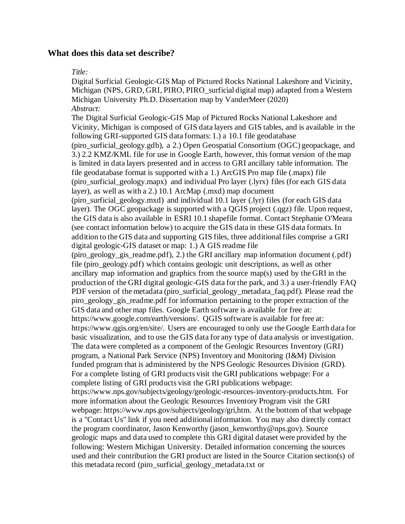### **What does this data set describe?**

#### *Title:*

Digital Surficial Geologic-GIS Map of Pictured Rocks National Lakeshore and Vicinity, Michigan (NPS, GRD, GRI, PIRO, PIRO\_surficial digital map) adapted from a Western Michigan University Ph.D. Dissertation map by VanderMeer (2020) *Abstract:*

The Digital Surficial Geologic-GIS Map of Pictured Rocks National Lakeshore and Vicinity, Michigan is composed of GIS data layers and GIS tables, and is available in the following GRI-supported GIS data formats: 1.) a 10.1 file geodatabase (piro\_surficial\_geology.gdb), a 2.) Open Geospatial Consortium (OGC) geopackage, and 3.) 2.2 KMZ/KML file for use in Google Earth, however, this format version of the map is limited in data layers presented and in access to GRI ancillary table information. The file geodatabase format is supported with a 1.) ArcGIS Pro map file (.mapx) file (piro\_surficial\_geology.mapx) and individual Pro layer (.lyrx) files (for each GIS data layer), as well as with a 2.) 10.1 ArcMap (.mxd) map document (piro\_surficial\_geology.mxd) and individual 10.1 layer (.lyr) files (for each GIS data layer). The OGC geopackage is supported with a QGIS project (.qgz) file. Upon request, the GIS data is also available in ESRI 10.1 shapefile format. Contact Stephanie O'Meara (see contact information below) to acquire the GIS data in these GIS data formats. In addition to the GIS data and supporting GIS files, three additional files comprise a GRI digital geologic-GIS dataset or map: 1.) A GIS readme file (piro\_geology\_gis\_readme.pdf), 2.) the GRI ancillary map information document (.pdf) file (piro\_geology.pdf) which contains geologic unit descriptions, as well as other ancillary map information and graphics from the source map(s) used by the GRI in the production of the GRI digital geologic-GIS data for the park, and 3.) a user-friendly FAQ PDF version of the metadata (piro\_surficial\_geology\_metadata\_faq.pdf). Please read the piro\_geology\_gis\_readme.pdf for information pertaining to the proper extraction of the GIS data and other map files. Google Earth software is available for free at: https://www.google.com/earth/versions/. QGIS software is available for free at: https://www.qgis.org/en/site/. Users are encouraged to only use the Google Earth data for basic visualization, and to use the GIS data for any type of data analysis or investigation. The data were completed as a component of the Geologic Resources Inventory (GRI) program, a National Park Service (NPS) Inventory and Monitoring (I&M) Division funded program that is administered by the NPS Geologic Resources Division (GRD). For a complete listing of GRI products visit the GRI publications webpage: For a complete listing of GRI products visit the GRI publications webpage: https://www.nps.gov/subjects/geology/geologic-resources-inventory-products.htm. For more information about the Geologic Resources Inventory Program visit the GRI webpage: https://www.nps.gov/subjects/geology/gri,htm. At the bottom of that webpage is a "Contact Us" link if you need additional information. You may also directly contact the program coordinator, Jason Kenworthy (jason\_kenworthy@nps.gov). Source geologic maps and data used to complete this GRI digital dataset were provided by the following: Western Michigan University. Detailed information concerning the sources used and their contribution the GRI product are listed in the Source Citation section(s) of this metadata record (piro\_surficial\_geology\_metadata.txt or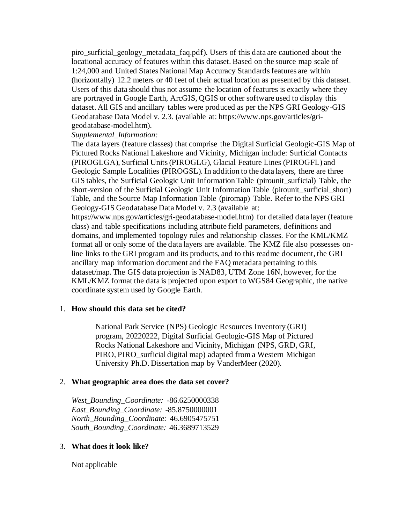piro\_surficial\_geology\_metadata\_faq.pdf). Users of this data are cautioned about the locational accuracy of features within this dataset. Based on the source map scale of 1:24,000 and United States National Map Accuracy Standards features are within (horizontally) 12.2 meters or 40 feet of their actual location as presented by this dataset. Users of this data should thus not assume the location of features is exactly where they are portrayed in Google Earth, ArcGIS, QGIS or other software used to display this dataset. All GIS and ancillary tables were produced as per the NPS GRI Geology-GIS Geodatabase Data Model v. 2.3. (available at: https://www.nps.gov/articles/grigeodatabase-model.htm).

### *Supplemental\_Information:*

The data layers (feature classes) that comprise the Digital Surficial Geologic-GIS Map of Pictured Rocks National Lakeshore and Vicinity, Michigan include: Surficial Contacts (PIROGLGA), Surficial Units (PIROGLG), Glacial Feature Lines (PIROGFL) and Geologic Sample Localities (PIROGSL). In addition to the data layers, there are three GIS tables, the Surficial Geologic Unit Information Table (pirounit surficial) Table, the short-version of the Surficial Geologic Unit Information Table (pirounit surficial short) Table, and the Source Map Information Table (piromap) Table. Refer to the NPS GRI Geology-GIS Geodatabase Data Model v. 2.3 (available at:

https://www.nps.gov/articles/gri-geodatabase-model.htm) for detailed data layer (feature class) and table specifications including attribute field parameters, definitions and domains, and implemented topology rules and relationship classes. For the KML/KMZ format all or only some of the data layers are available. The KMZ file also possesses online links to the GRI program and its products, and to this readme document, the GRI ancillary map information document and the FAQ metadata pertaining to this dataset/map. The GIS data projection is NAD83, UTM Zone 16N, however, for the KML/KMZ format the data is projected upon export to WGS84 Geographic, the native coordinate system used by Google Earth.

### <span id="page-2-0"></span>1. **How should this data set be cited?**

National Park Service (NPS) Geologic Resources Inventory (GRI) program, 20220222, Digital Surficial Geologic-GIS Map of Pictured Rocks National Lakeshore and Vicinity, Michigan (NPS, GRD, GRI, PIRO, PIRO\_surficial digital map) adapted from a Western Michigan University Ph.D. Dissertation map by VanderMeer (2020).

### <span id="page-2-1"></span>2. **What geographic area does the data set cover?**

*West\_Bounding\_Coordinate:* -86.6250000338 *East\_Bounding\_Coordinate:* -85.8750000001 *North\_Bounding\_Coordinate:* 46.6905475751 *South\_Bounding\_Coordinate:* 46.3689713529

### <span id="page-2-2"></span>3. **What does it look like?**

Not applicable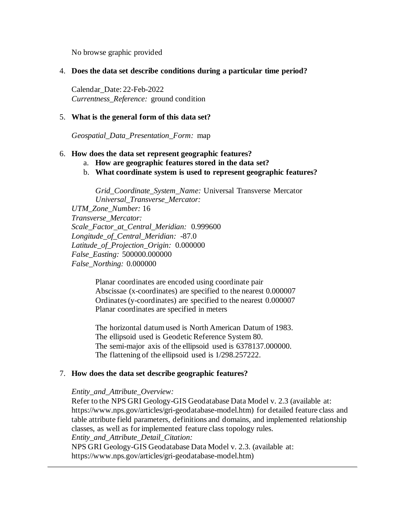No browse graphic provided

#### <span id="page-3-0"></span>4. **Does the data set describe conditions during a particular time period?**

Calendar\_Date: 22-Feb-2022 *Currentness\_Reference:* ground condition

#### <span id="page-3-1"></span>5. **What is the general form of this data set?**

*Geospatial\_Data\_Presentation\_Form:* map

#### <span id="page-3-2"></span>6. **How does the data set represent geographic features?**

- a. **How are geographic features stored in the data set?**
- b. **What coordinate system is used to represent geographic features?**

*Grid\_Coordinate\_System\_Name:* Universal Transverse Mercator *Universal\_Transverse\_Mercator:*

*UTM\_Zone\_Number:* 16 *Transverse\_Mercator: Scale\_Factor\_at\_Central\_Meridian:* 0.999600 *Longitude\_of\_Central\_Meridian:* -87.0 *Latitude\_of\_Projection\_Origin:* 0.000000 *False\_Easting:* 500000.000000 *False\_Northing:* 0.000000

> Planar coordinates are encoded using coordinate pair Abscissae (x-coordinates) are specified to the nearest 0.000007 Ordinates (y-coordinates) are specified to the nearest 0.000007 Planar coordinates are specified in meters

> The horizontal datum used is North American Datum of 1983. The ellipsoid used is Geodetic Reference System 80. The semi-major axis of the ellipsoid used is 6378137.000000. The flattening of the ellipsoid used is 1/298.257222.

#### <span id="page-3-3"></span>7. **How does the data set describe geographic features?**

#### *Entity\_and\_Attribute\_Overview:*

Refer to the NPS GRI Geology-GIS Geodatabase Data Model v. 2.3 (available at: https://www.nps.gov/articles/gri-geodatabase-model.htm) for detailed feature class and table attribute field parameters, definitions and domains, and implemented relationship classes, as well as for implemented feature class topology rules. *Entity\_and\_Attribute\_Detail\_Citation:* NPS GRI Geology-GIS Geodatabase Data Model v. 2.3. (available at: https://www.nps.gov/articles/gri-geodatabase-model.htm)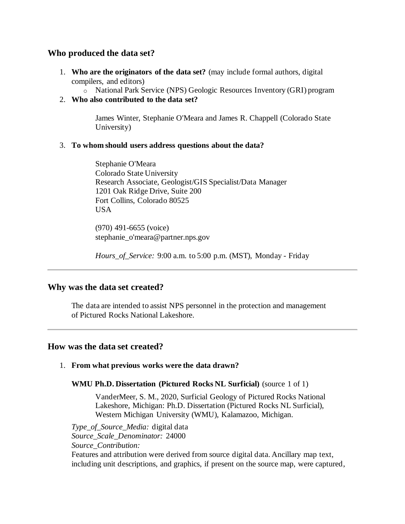## <span id="page-4-0"></span>**Who produced the data set?**

- <span id="page-4-1"></span>1. **Who are the originators of the data set?** (may include formal authors, digital compilers, and editors)
	- o National Park Service (NPS) Geologic Resources Inventory (GRI) program
- <span id="page-4-2"></span>2. **Who also contributed to the data set?**

James Winter, Stephanie O'Meara and James R. Chappell (Colorado State University)

### <span id="page-4-3"></span>3. **To whom should users address questions about the data?**

Stephanie O'Meara Colorado State University Research Associate, Geologist/GIS Specialist/Data Manager 1201 Oak Ridge Drive, Suite 200 Fort Collins, Colorado 80525 **USA** 

(970) 491-6655 (voice) stephanie\_o'meara@partner.nps.gov

*Hours\_of\_Service:* 9:00 a.m. to 5:00 p.m. (MST), Monday - Friday

## <span id="page-4-4"></span>**Why was the data set created?**

The data are intended to assist NPS personnel in the protection and management of Pictured Rocks National Lakeshore.

## <span id="page-4-5"></span>**How was the data set created?**

## <span id="page-4-6"></span>1. **From what previous works were the data drawn?**

**WMU Ph.D. Dissertation (Pictured Rocks NL Surficial)** (source 1 of 1)

VanderMeer, S. M., 2020, Surficial Geology of Pictured Rocks National Lakeshore, Michigan: Ph.D. Dissertation (Pictured Rocks NL Surficial), Western Michigan University (WMU), Kalamazoo, Michigan.

*Type\_of\_Source\_Media:* digital data *Source\_Scale\_Denominator:* 24000 *Source\_Contribution:* Features and attribution were derived from source digital data. Ancillary map text, including unit descriptions, and graphics, if present on the source map, were captured,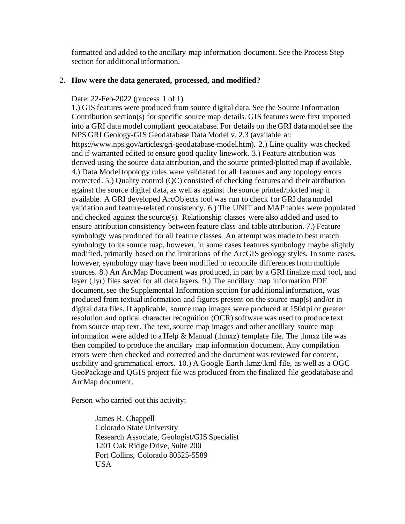formatted and added to the ancillary map information document. See the Process Step section for additional information.

#### <span id="page-5-0"></span>2. **How were the data generated, processed, and modified?**

#### Date: 22-Feb-2022 (process 1 of 1)

1.) GIS features were produced from source digital data. See the Source Information Contribution section(s) for specific source map details. GIS features were first imported into a GRI data model compliant geodatabase. For details on the GRI data model see the NPS GRI Geology-GIS Geodatabase Data Model v. 2.3 (available at: https://www.nps.gov/articles/gri-geodatabase-model.htm). 2.) Line quality was checked and if warranted edited to ensure good quality linework. 3.) Feature attribution was derived using the source data attribution, and the source printed/plotted map if available. 4.) Data Model topology rules were validated for all features and any topology errors corrected. 5.) Quality control (QC) consisted of checking features and their attribution against the source digital data, as well as against the source printed/plotted map if available. A GRI developed ArcObjects tool was run to check for GRI data model validation and feature-related consistency. 6.) The UNIT and MAP tables were populated and checked against the source(s). Relationship classes were also added and used to ensure attribution consistency between feature class and table attribution. 7.) Feature symbology was produced for all feature classes. An attempt was made to best match symbology to its source map, however, in some cases features symbology maybe slightly modified, primarily based on the limitations of the ArcGIS geology styles. In some cases, however, symbology may have been modified to reconcile differences from multiple sources. 8.) An ArcMap Document was produced, in part by a GRI finalize mxd tool, and layer (.lyr) files saved for all data layers. 9.) The ancillary map information PDF document, see the Supplemental Information section for additional information, was produced from textual information and figures present on the source map(s) and/or in digital data files. If applicable, source map images were produced at 150dpi or greater resolution and optical character recognition (OCR) software was used to produce text from source map text. The text, source map images and other ancillary source map information were added to a Help & Manual (.hmxz) template file. The .hmxz file was then compiled to produce the ancillary map information document. Any compilation errors were then checked and corrected and the document was reviewed for content, usability and grammatical errors. 10.) A Google Earth .kmz/.kml file, as well as a OGC GeoPackage and QGIS project file was produced from the finalized file geodatabase and ArcMap document.

Person who carried out this activity:

James R. Chappell Colorado State University Research Associate, Geologist/GIS Specialist 1201 Oak Ridge Drive, Suite 200 Fort Collins, Colorado 80525-5589 USA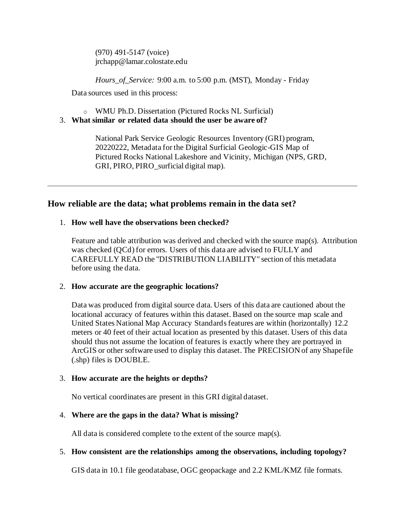(970) 491-5147 (voice) jrchapp@lamar.colostate.edu

*Hours\_of\_Service:* 9:00 a.m. to 5:00 p.m. (MST), Monday - Friday

Data sources used in this process:

o WMU Ph.D. Dissertation (Pictured Rocks NL Surficial)

### <span id="page-6-0"></span>3. **What similar or related data should the user be aware of?**

National Park Service Geologic Resources Inventory (GRI) program, 20220222, Metadata for the Digital Surficial Geologic-GIS Map of Pictured Rocks National Lakeshore and Vicinity, Michigan (NPS, GRD, GRI, PIRO, PIRO surficial digital map).

## <span id="page-6-1"></span>**How reliable are the data; what problems remain in the data set?**

### <span id="page-6-2"></span>1. **How well have the observations been checked?**

Feature and table attribution was derived and checked with the source map(s). Attribution was checked (QCd) for errors. Users of this data are advised to FULLY and CAREFULLY READ the "DISTRIBUTION LIABILITY" section of this metadata before using the data.

### <span id="page-6-3"></span>2. **How accurate are the geographic locations?**

Data was produced from digital source data. Users of this data are cautioned about the locational accuracy of features within this dataset. Based on the source map scale and United States National Map Accuracy Standards features are within (horizontally) 12.2 meters or 40 feet of their actual location as presented by this dataset. Users of this data should thus not assume the location of features is exactly where they are portrayed in ArcGIS or other software used to display this dataset. The PRECISION of any Shapefile (.shp) files is DOUBLE.

## <span id="page-6-4"></span>3. **How accurate are the heights or depths?**

No vertical coordinates are present in this GRI digital dataset.

## <span id="page-6-5"></span>4. **Where are the gaps in the data? What is missing?**

All data is considered complete to the extent of the source map(s).

## <span id="page-6-6"></span>5. **How consistent are the relationships among the observations, including topology?**

GIS data in 10.1 file geodatabase, OGC geopackage and 2.2 KML/KMZ file formats.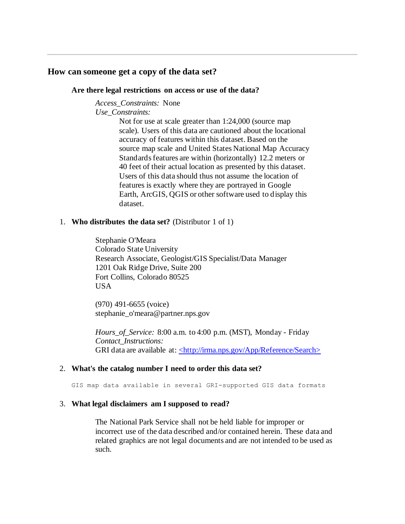#### <span id="page-7-1"></span><span id="page-7-0"></span>**How can someone get a copy of the data set?**

#### **Are there legal restrictions on access or use of the data?**

*Access\_Constraints:* None *Use\_Constraints:*

> Not for use at scale greater than 1:24,000 (source map scale). Users of this data are cautioned about the locational accuracy of features within this dataset. Based on the source map scale and United States National Map Accuracy Standards features are within (horizontally) 12.2 meters or 40 feet of their actual location as presented by this dataset. Users of this data should thus not assume the location of features is exactly where they are portrayed in Google Earth, ArcGIS, QGIS or other software used to display this dataset.

#### <span id="page-7-2"></span>1. **Who distributes the data set?** (Distributor 1 of 1)

Stephanie O'Meara Colorado State University Research Associate, Geologist/GIS Specialist/Data Manager 1201 Oak Ridge Drive, Suite 200 Fort Collins, Colorado 80525 USA

(970) 491-6655 (voice) stephanie\_o'meara@partner.nps.gov

*Hours\_of\_Service:* 8:00 a.m. to 4:00 p.m. (MST), Monday - Friday *Contact\_Instructions:* GRI data are available at[: <http://irma.nps.gov/App/Reference/Search>](http://irma.nps.gov/App/Reference/Search)

#### <span id="page-7-3"></span>2. **What's the catalog number I need to order this data set?**

GIS map data available in several GRI-supported GIS data formats

#### <span id="page-7-4"></span>3. **What legal disclaimers am I supposed to read?**

The National Park Service shall not be held liable for improper or incorrect use of the data described and/or contained herein. These data and related graphics are not legal documents and are not intended to be used as such.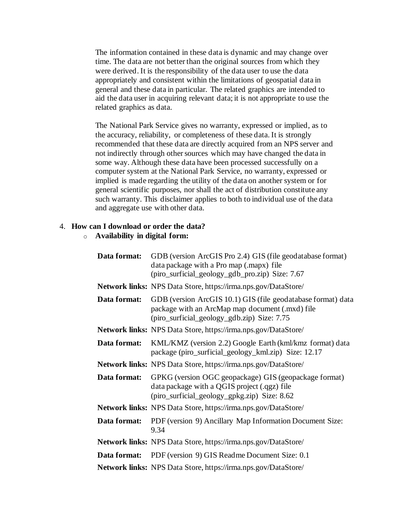The information contained in these data is dynamic and may change over time. The data are not better than the original sources from which they were derived. It is the responsibility of the data user to use the data appropriately and consistent within the limitations of geospatial data in general and these data in particular. The related graphics are intended to aid the data user in acquiring relevant data; it is not appropriate to use the related graphics as data.

The National Park Service gives no warranty, expressed or implied, as to the accuracy, reliability, or completeness of these data. It is strongly recommended that these data are directly acquired from an NPS server and not indirectly through other sources which may have changed the data in some way. Although these data have been processed successfully on a computer system at the National Park Service, no warranty, expressed or implied is made regarding the utility of the data on another system or for general scientific purposes, nor shall the act of distribution constitute any such warranty. This disclaimer applies to both to individual use of the data and aggregate use with other data.

#### <span id="page-8-0"></span>4. **How can I download or order the data?**

#### o **Availability in digital form:**

| Data format: | GDB (version ArcGIS Pro 2.4) GIS (file geodatabase format)<br>data package with a Pro map (.mapx) file<br>(piro_surficial_geology_gdb_pro.zip) Size: 7.67      |
|--------------|----------------------------------------------------------------------------------------------------------------------------------------------------------------|
|              | Network links: NPS Data Store, https://irma.nps.gov/DataStore/                                                                                                 |
| Data format: | GDB (version ArcGIS 10.1) GIS (file geodatabase format) data<br>package with an ArcMap map document (.mxd) file<br>(piro_surficial_geology_gdb.zip) Size: 7.75 |
|              | Network links: NPS Data Store, https://irma.nps.gov/DataStore/                                                                                                 |
| Data format: | KML/KMZ (version 2.2) Google Earth (kml/kmz format) data<br>package (piro_surficial_geology_kml.zip) Size: 12.17                                               |
|              | <b>Network links:</b> NPS Data Store, https://irma.nps.gov/DataStore/                                                                                          |
| Data format: | GPKG (version OGC geopackage) GIS (geopackage format)<br>data package with a QGIS project (.qgz) file<br>(piro_surficial_geology_gpkg.zip) Size: 8.62          |
|              | Network links: NPS Data Store, https://irma.nps.gov/DataStore/                                                                                                 |
| Data format: | PDF (version 9) Ancillary Map Information Document Size:<br>9.34                                                                                               |
|              | Network links: NPS Data Store, https://irma.nps.gov/DataStore/                                                                                                 |
| Data format: | PDF (version 9) GIS Readme Document Size: 0.1                                                                                                                  |
|              | Network links: NPS Data Store, https://irma.nps.gov/DataStore/                                                                                                 |